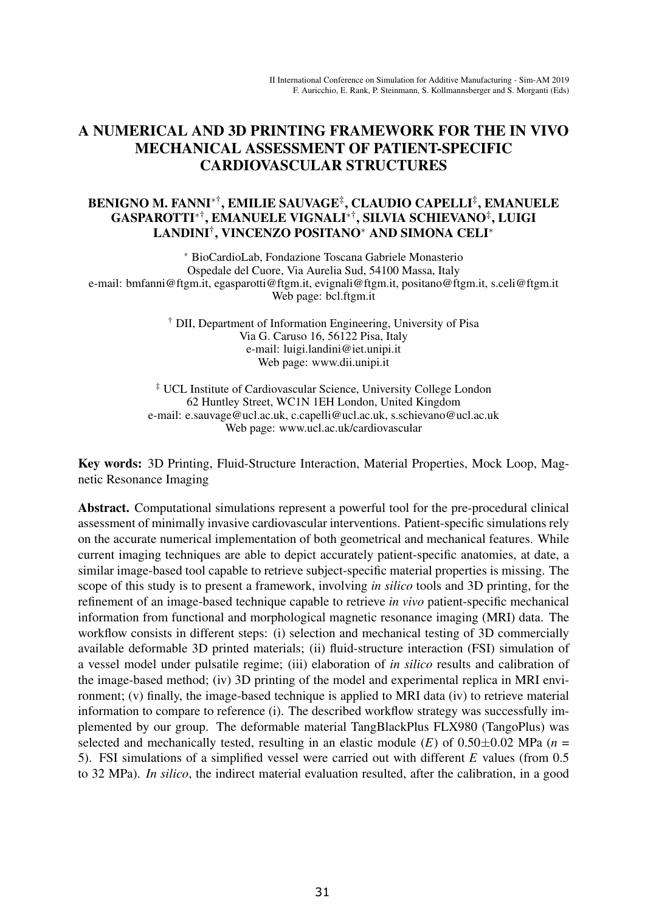# A NUMERICAL AND 3D PRINTING FRAMEWORK FOR THE IN VIVO MECHANICAL ASSESSMENT OF PATIENT-SPECIFIC CARDIOVASCULAR STRUCTURES

## BENIGNO M. FANNI<sup>∗†</sup>, EMILIE SAUVAGE<sup>‡</sup>, CLAUDIO CAPELLI<sup>‡</sup>, EMANUELE GASPAROTTI∗†, EMANUELE VIGNALI∗†, SILVIA SCHIEVANO‡, LUIGI LANDINI†, VINCENZO POSITANO<sup>∗</sup> AND SIMONA CELI<sup>∗</sup>

<sup>∗</sup> BioCardioLab, Fondazione Toscana Gabriele Monasterio Ospedale del Cuore, Via Aurelia Sud, 54100 Massa, Italy e-mail: bmfanni@ftgm.it, egasparotti@ftgm.it, evignali@ftgm.it, positano@ftgm.it, s.celi@ftgm.it Web page: bcl.ftgm.it

> † DII, Department of Information Engineering, University of Pisa Via G. Caruso 16, 56122 Pisa, Italy e-mail: luigi.landini@iet.unipi.it Web page: www.dii.unipi.it

‡ UCL Institute of Cardiovascular Science, University College London 62 Huntley Street, WC1N 1EH London, United Kingdom e-mail: e.sauvage@ucl.ac.uk, c.capelli@ucl.ac.uk, s.schievano@ucl.ac.uk Web page: www.ucl.ac.uk/cardiovascular

Key words: 3D Printing, Fluid-Structure Interaction, Material Properties, Mock Loop, Magnetic Resonance Imaging

Abstract. Computational simulations represent a powerful tool for the pre-procedural clinical assessment of minimally invasive cardiovascular interventions. Patient-specific simulations rely on the accurate numerical implementation of both geometrical and mechanical features. While current imaging techniques are able to depict accurately patient-specific anatomies, at date, a similar image-based tool capable to retrieve subject-specific material properties is missing. The scope of this study is to present a framework, involving *in silico* tools and 3D printing, for the refinement of an image-based technique capable to retrieve *in vivo* patient-specific mechanical information from functional and morphological magnetic resonance imaging (MRI) data. The workflow consists in different steps: (i) selection and mechanical testing of 3D commercially available deformable 3D printed materials; (ii) fluid-structure interaction (FSI) simulation of a vessel model under pulsatile regime; (iii) elaboration of *in silico* results and calibration of the image-based method; (iv) 3D printing of the model and experimental replica in MRI environment; (v) finally, the image-based technique is applied to MRI data (iv) to retrieve material information to compare to reference (i). The described workflow strategy was successfully implemented by our group. The deformable material TangBlackPlus FLX980 (TangoPlus) was selected and mechanically tested, resulting in an elastic module ( $E$ ) of  $0.50\pm0.02$  MPa ( $n =$ 5). FSI simulations of a simplified vessel were carried out with different *E* values (from 0.5 to 32 MPa). *In silico*, the indirect material evaluation resulted, after the calibration, in a good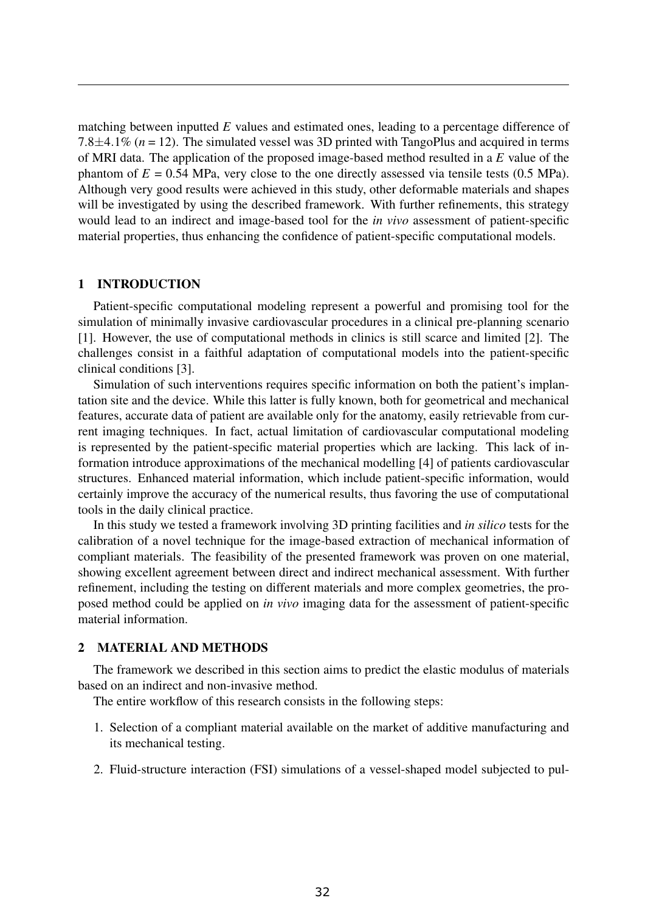matching between inputted *E* values and estimated ones, leading to a percentage difference of 7.8±4.1% (*n* = 12). The simulated vessel was 3D printed with TangoPlus and acquired in terms of MRI data. The application of the proposed image-based method resulted in a *E* value of the phantom of  $E = 0.54$  MPa, very close to the one directly assessed via tensile tests  $(0.5 \text{ MPa})$ . Although very good results were achieved in this study, other deformable materials and shapes will be investigated by using the described framework. With further refinements, this strategy would lead to an indirect and image-based tool for the *in vivo* assessment of patient-specific material properties, thus enhancing the confidence of patient-specific computational models.

## 1 INTRODUCTION

Patient-specific computational modeling represent a powerful and promising tool for the simulation of minimally invasive cardiovascular procedures in a clinical pre-planning scenario [1]. However, the use of computational methods in clinics is still scarce and limited [2]. The challenges consist in a faithful adaptation of computational models into the patient-specific clinical conditions [3].

Simulation of such interventions requires specific information on both the patient's implantation site and the device. While this latter is fully known, both for geometrical and mechanical features, accurate data of patient are available only for the anatomy, easily retrievable from current imaging techniques. In fact, actual limitation of cardiovascular computational modeling is represented by the patient-specific material properties which are lacking. This lack of information introduce approximations of the mechanical modelling [4] of patients cardiovascular structures. Enhanced material information, which include patient-specific information, would certainly improve the accuracy of the numerical results, thus favoring the use of computational tools in the daily clinical practice.

In this study we tested a framework involving 3D printing facilities and *in silico* tests for the calibration of a novel technique for the image-based extraction of mechanical information of compliant materials. The feasibility of the presented framework was proven on one material, showing excellent agreement between direct and indirect mechanical assessment. With further refinement, including the testing on different materials and more complex geometries, the proposed method could be applied on *in vivo* imaging data for the assessment of patient-specific material information.

## 2 MATERIAL AND METHODS

The framework we described in this section aims to predict the elastic modulus of materials based on an indirect and non-invasive method.

The entire workflow of this research consists in the following steps:

- 1. Selection of a compliant material available on the market of additive manufacturing and its mechanical testing.
- 2. Fluid-structure interaction (FSI) simulations of a vessel-shaped model subjected to pul-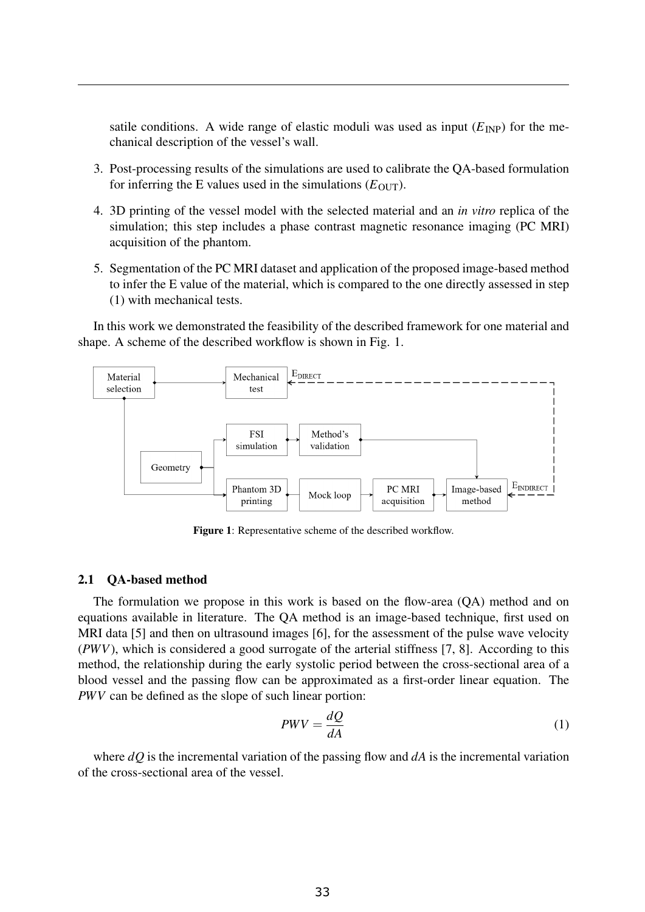satile conditions. A wide range of elastic moduli was used as input  $(E_{\text{INP}})$  for the mechanical description of the vessel's wall.

- 3. Post-processing results of the simulations are used to calibrate the QA-based formulation for inferring the E values used in the simulations  $(E_{\text{OUT}})$ .
- 4. 3D printing of the vessel model with the selected material and an *in vitro* replica of the simulation; this step includes a phase contrast magnetic resonance imaging (PC MRI) acquisition of the phantom.
- 5. Segmentation of the PC MRI dataset and application of the proposed image-based method to infer the E value of the material, which is compared to the one directly assessed in step (1) with mechanical tests.

In this work we demonstrated the feasibility of the described framework for one material and shape. A scheme of the described workflow is shown in Fig. 1.



Figure 1: Representative scheme of the described workflow.

#### 2.1 QA-based method

The formulation we propose in this work is based on the flow-area (QA) method and on equations available in literature. The QA method is an image-based technique, first used on MRI data [5] and then on ultrasound images [6], for the assessment of the pulse wave velocity (*PWV*), which is considered a good surrogate of the arterial stiffness [7, 8]. According to this method, the relationship during the early systolic period between the cross-sectional area of a blood vessel and the passing flow can be approximated as a first-order linear equation. The *PWV* can be defined as the slope of such linear portion:

$$
PWV = \frac{dQ}{dA} \tag{1}
$$

where *dQ* is the incremental variation of the passing flow and *dA* is the incremental variation of the cross-sectional area of the vessel.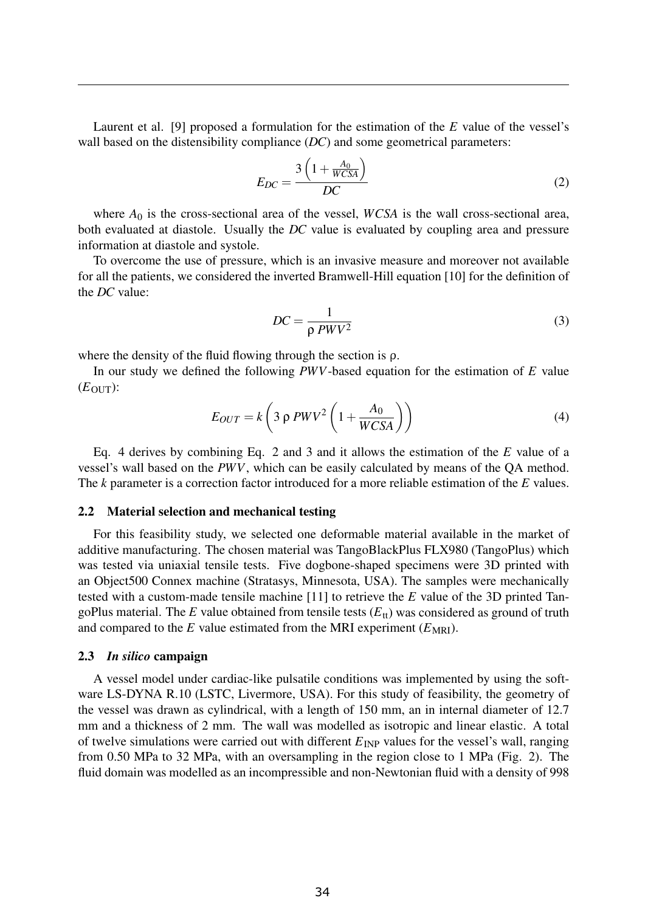Laurent et al. [9] proposed a formulation for the estimation of the *E* value of the vessel's wall based on the distensibility compliance *(DC)* and some geometrical parameters:

$$
E_{DC} = \frac{3\left(1 + \frac{A_0}{WCSA}\right)}{DC}
$$
 (2)

where  $A_0$  is the cross-sectional area of the vessel, *WCSA* is the wall cross-sectional area, both evaluated at diastole. Usually the *DC* value is evaluated by coupling area and pressure information at diastole and systole.

To overcome the use of pressure, which is an invasive measure and moreover not available for all the patients, we considered the inverted Bramwell-Hill equation [10] for the definition of the *DC* value:

$$
DC = \frac{1}{\rho \, PWV^2} \tag{3}
$$

where the density of the fluid flowing through the section is  $\rho$ .

In our study we defined the following *PWV*-based equation for the estimation of *E* value  $(E_{\text{OUT}})$ :

$$
E_{OUT} = k \left( 3 \rho \, PWV^2 \left( 1 + \frac{A_0}{WCSA} \right) \right) \tag{4}
$$

Eq. 4 derives by combining Eq. 2 and 3 and it allows the estimation of the *E* value of a vessel's wall based on the *PWV*, which can be easily calculated by means of the QA method. The *k* parameter is a correction factor introduced for a more reliable estimation of the *E* values.

#### 2.2 Material selection and mechanical testing

For this feasibility study, we selected one deformable material available in the market of additive manufacturing. The chosen material was TangoBlackPlus FLX980 (TangoPlus) which was tested via uniaxial tensile tests. Five dogbone-shaped specimens were 3D printed with an Object500 Connex machine (Stratasys, Minnesota, USA). The samples were mechanically tested with a custom-made tensile machine [11] to retrieve the *E* value of the 3D printed TangoPlus material. The  $E$  value obtained from tensile tests  $(E<sub>tt</sub>)$  was considered as ground of truth and compared to the  $E$  value estimated from the MRI experiment ( $E_{MRI}$ ).

#### 2.3 *In silico* campaign

A vessel model under cardiac-like pulsatile conditions was implemented by using the software LS-DYNA R.10 (LSTC, Livermore, USA). For this study of feasibility, the geometry of the vessel was drawn as cylindrical, with a length of 150 mm, an in internal diameter of 12.7 mm and a thickness of 2 mm. The wall was modelled as isotropic and linear elastic. A total of twelve simulations were carried out with different  $E_{\text{INP}}$  values for the vessel's wall, ranging from 0.50 MPa to 32 MPa, with an oversampling in the region close to 1 MPa (Fig. 2). The fluid domain was modelled as an incompressible and non-Newtonian fluid with a density of 998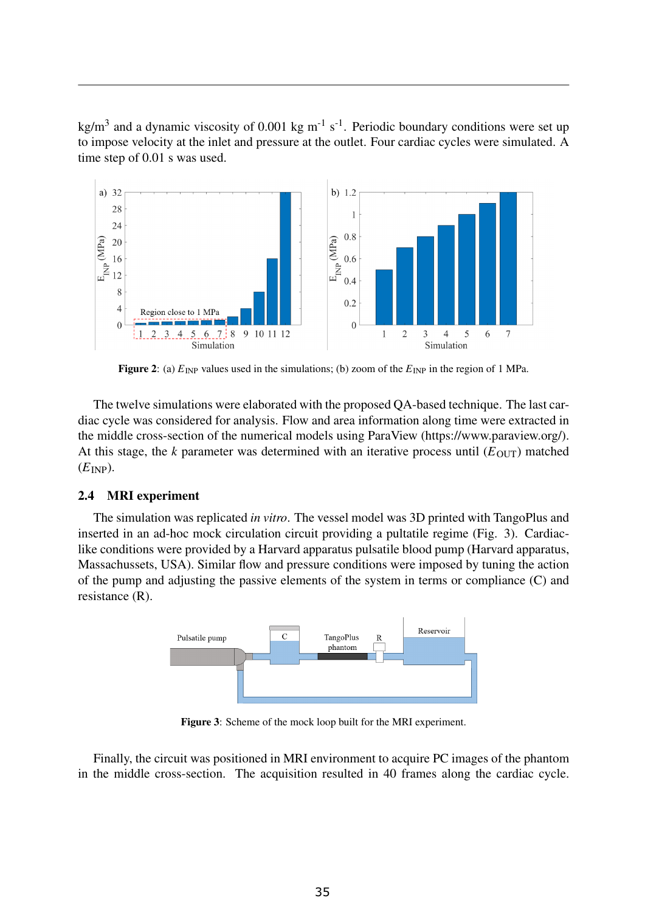kg/m<sup>3</sup> and a dynamic viscosity of 0.001 kg m<sup>-1</sup> s<sup>-1</sup>. Periodic boundary conditions were set up to impose velocity at the inlet and pressure at the outlet. Four cardiac cycles were simulated. A time step of 0.01 s was used.



Figure 2: (a)  $E_{\text{INP}}$  values used in the simulations; (b) zoom of the  $E_{\text{INP}}$  in the region of 1 MPa.

The twelve simulations were elaborated with the proposed QA-based technique. The last cardiac cycle was considered for analysis. Flow and area information along time were extracted in the middle cross-section of the numerical models using ParaView (https://www.paraview.org/). At this stage, the *k* parameter was determined with an iterative process until  $(E_{\text{OUT}})$  matched  $(E<sub>INP</sub>)$ .

## 2.4 MRI experiment

The simulation was replicated *in vitro*. The vessel model was 3D printed with TangoPlus and inserted in an ad-hoc mock circulation circuit providing a pultatile regime (Fig. 3). Cardiaclike conditions were provided by a Harvard apparatus pulsatile blood pump (Harvard apparatus, Massachussets, USA). Similar flow and pressure conditions were imposed by tuning the action of the pump and adjusting the passive elements of the system in terms or compliance (C) and resistance (R).



Figure 3: Scheme of the mock loop built for the MRI experiment.

Finally, the circuit was positioned in MRI environment to acquire PC images of the phantom in the middle cross-section. The acquisition resulted in 40 frames along the cardiac cycle.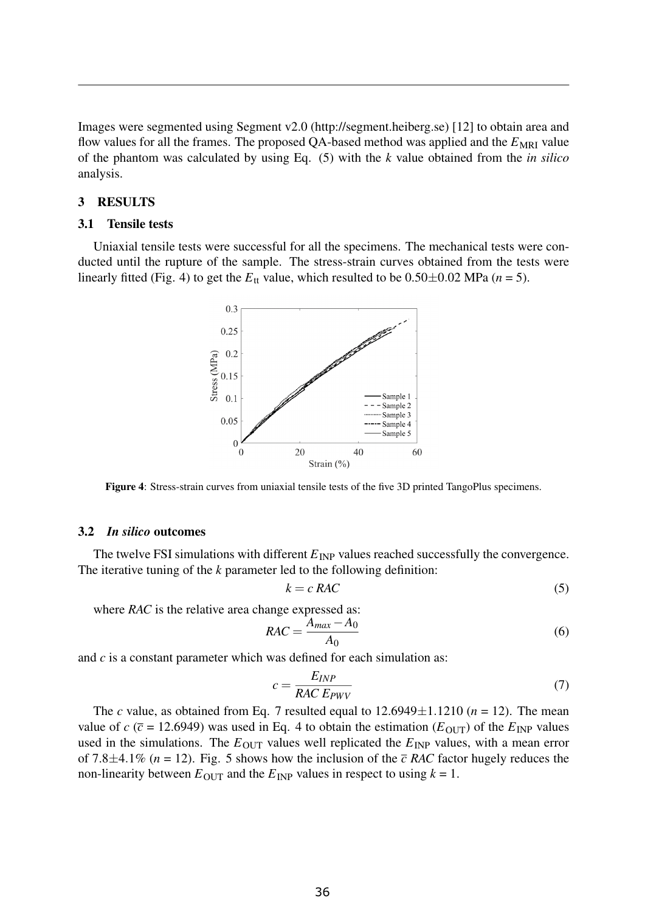Images were segmented using Segment v2.0 (http://segment.heiberg.se) [12] to obtain area and flow values for all the frames. The proposed QA-based method was applied and the  $E_{MRI}$  value of the phantom was calculated by using Eq. (5) with the *k* value obtained from the *in silico* analysis.

## 3 RESULTS

## 3.1 Tensile tests

Uniaxial tensile tests were successful for all the specimens. The mechanical tests were conducted until the rupture of the sample. The stress-strain curves obtained from the tests were linearly fitted (Fig. 4) to get the  $E_{tt}$  value, which resulted to be  $0.50\pm0.02$  MPa ( $n = 5$ ).



Figure 4: Stress-strain curves from uniaxial tensile tests of the five 3D printed TangoPlus specimens.

#### 3.2 *In silico* outcomes

The twelve FSI simulations with different  $E_{\text{INP}}$  values reached successfully the convergence. The iterative tuning of the *k* parameter led to the following definition:

$$
k = c \, RAC \tag{5}
$$

where *RAC* is the relative area change expressed as:

$$
RAC = \frac{A_{max} - A_0}{A_0} \tag{6}
$$

and *c* is a constant parameter which was defined for each simulation as:

$$
c = \frac{E_{INP}}{RAC \, E_{PWV}}\tag{7}
$$

The *c* value, as obtained from Eq. 7 resulted equal to  $12.6949 \pm 1.1210$  ( $n = 12$ ). The mean value of  $c$  ( $\bar{c}$  = 12.6949) was used in Eq. 4 to obtain the estimation ( $E_{\text{OUT}}$ ) of the  $E_{\text{INP}}$  values used in the simulations. The  $E_{\text{OUT}}$  values well replicated the  $E_{\text{INF}}$  values, with a mean error of 7.8 $\pm$ 4.1% (*n* = 12). Fig. 5 shows how the inclusion of the  $\bar{c}$  RAC factor hugely reduces the non-linearity between  $E_{\text{OUT}}$  and the  $E_{\text{INP}}$  values in respect to using  $k = 1$ .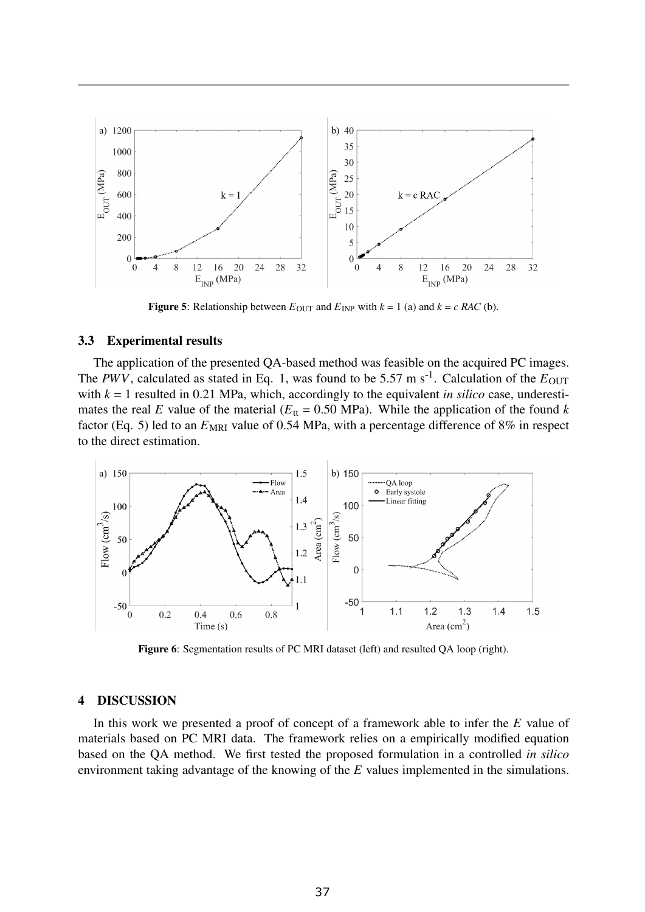

**Figure 5:** Relationship between  $E_{\text{OUT}}$  and  $E_{\text{INP}}$  with  $k = 1$  (a) and  $k = c$  *RAC* (b).

## 3.3 Experimental results

The application of the presented QA-based method was feasible on the acquired PC images. The *PWV*, calculated as stated in Eq. 1, was found to be 5.57 m s<sup>-1</sup>. Calculation of the  $E_{\text{OUT}}$ with  $k = 1$  resulted in 0.21 MPa, which, accordingly to the equivalent *in silico* case, underestimates the real *E* value of the material ( $E<sub>tt</sub> = 0.50$  MPa). While the application of the found *k* factor (Eq. 5) led to an  $E_{MRI}$  value of 0.54 MPa, with a percentage difference of 8% in respect to the direct estimation.



Figure 6: Segmentation results of PC MRI dataset (left) and resulted QA loop (right).

### 4 DISCUSSION

In this work we presented a proof of concept of a framework able to infer the *E* value of materials based on PC MRI data. The framework relies on a empirically modified equation based on the QA method. We first tested the proposed formulation in a controlled *in silico* environment taking advantage of the knowing of the *E* values implemented in the simulations.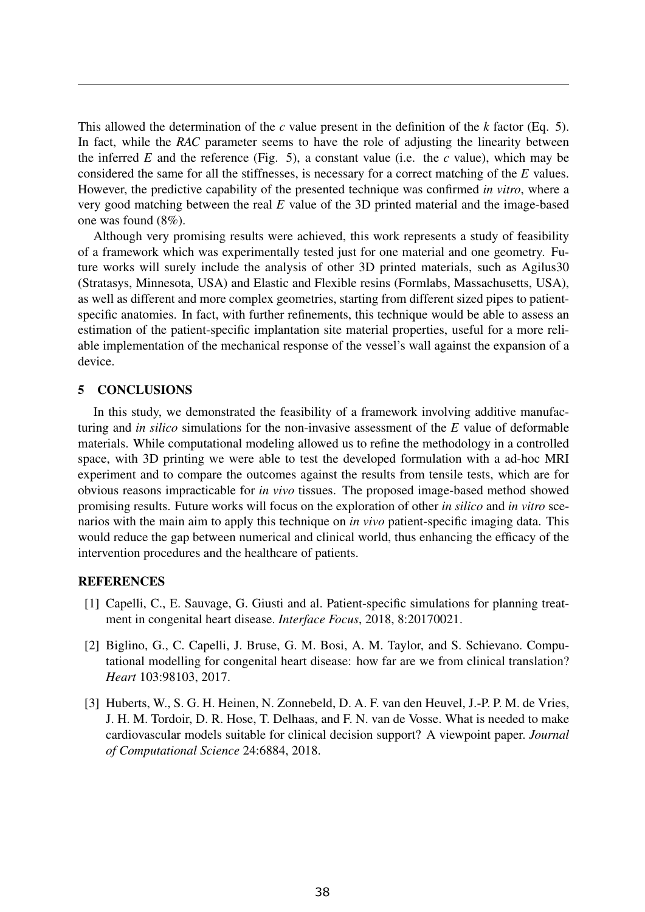This allowed the determination of the *c* value present in the definition of the *k* factor (Eq. 5). In fact, while the *RAC* parameter seems to have the role of adjusting the linearity between the inferred  $E$  and the reference (Fig. 5), a constant value (i.e. the  $c$  value), which may be considered the same for all the stiffnesses, is necessary for a correct matching of the *E* values. However, the predictive capability of the presented technique was confirmed *in vitro*, where a very good matching between the real *E* value of the 3D printed material and the image-based one was found (8%).

Although very promising results were achieved, this work represents a study of feasibility of a framework which was experimentally tested just for one material and one geometry. Future works will surely include the analysis of other 3D printed materials, such as Agilus30 (Stratasys, Minnesota, USA) and Elastic and Flexible resins (Formlabs, Massachusetts, USA), as well as different and more complex geometries, starting from different sized pipes to patientspecific anatomies. In fact, with further refinements, this technique would be able to assess an estimation of the patient-specific implantation site material properties, useful for a more reliable implementation of the mechanical response of the vessel's wall against the expansion of a device.

## 5 CONCLUSIONS

In this study, we demonstrated the feasibility of a framework involving additive manufacturing and *in silico* simulations for the non-invasive assessment of the *E* value of deformable materials. While computational modeling allowed us to refine the methodology in a controlled space, with 3D printing we were able to test the developed formulation with a ad-hoc MRI experiment and to compare the outcomes against the results from tensile tests, which are for obvious reasons impracticable for *in vivo* tissues. The proposed image-based method showed promising results. Future works will focus on the exploration of other *in silico* and *in vitro* scenarios with the main aim to apply this technique on *in vivo* patient-specific imaging data. This would reduce the gap between numerical and clinical world, thus enhancing the efficacy of the intervention procedures and the healthcare of patients.

## **REFERENCES**

- [1] Capelli, C., E. Sauvage, G. Giusti and al. Patient-specific simulations for planning treatment in congenital heart disease. *Interface Focus*, 2018, 8:20170021.
- [2] Biglino, G., C. Capelli, J. Bruse, G. M. Bosi, A. M. Taylor, and S. Schievano. Computational modelling for congenital heart disease: how far are we from clinical translation? *Heart* 103:98103, 2017.
- [3] Huberts, W., S. G. H. Heinen, N. Zonnebeld, D. A. F. van den Heuvel, J.-P. P. M. de Vries, J. H. M. Tordoir, D. R. Hose, T. Delhaas, and F. N. van de Vosse. What is needed to make cardiovascular models suitable for clinical decision support? A viewpoint paper. *Journal of Computational Science* 24:6884, 2018.